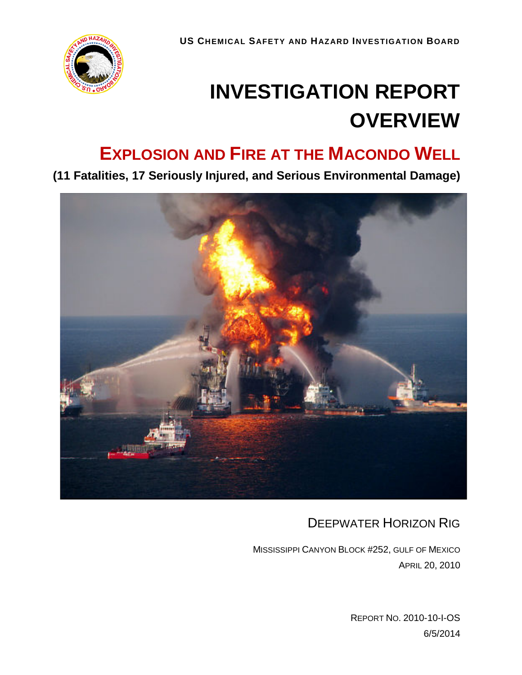

# **INVESTIGATION REPORT OVERVIEW**

# **EXPLOSION AND FIRE AT THE MACONDO WELL**

**(11 Fatalities, 17 Seriously Injured, and Serious Environmental Damage)**



DEEPWATER HORIZON RIG

MISSISSIPPI CANYON BLOCK #252, GULF OF MEXICO APRIL 20, 2010

> REPORT NO. 2010-10-I-OS 6/5/2014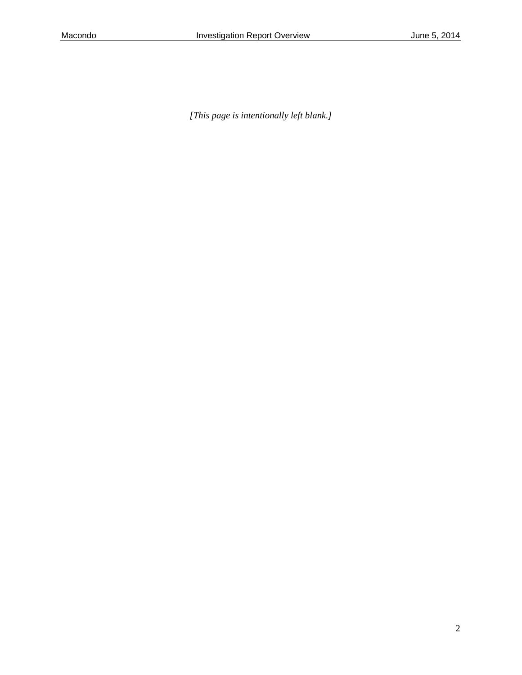*[This page is intentionally left blank.]*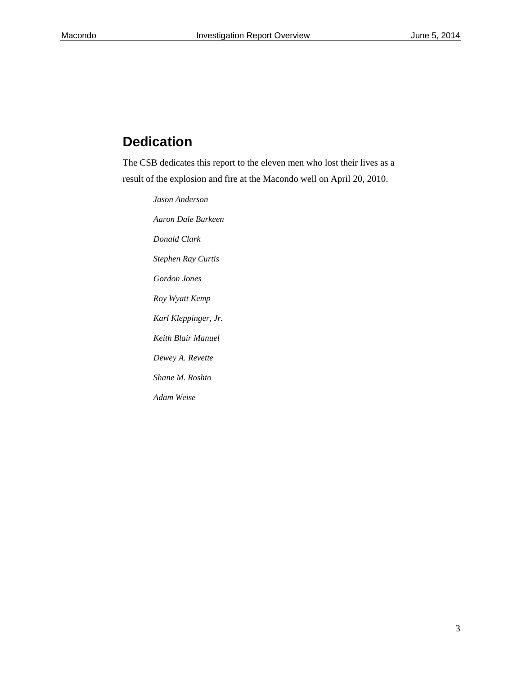# **Dedication**

The CSB dedicates this report to the eleven men who lost their lives as a result of the explosion and fire at the Macondo well on April 20, 2010.

> *Jason Anderson Aaron Dale Burkeen Donald Clark Stephen Ray Curtis Gordon Jones Roy Wyatt Kemp Karl Kleppinger, Jr. Keith Blair Manuel Dewey A. Revette Shane M. Roshto Adam Weise*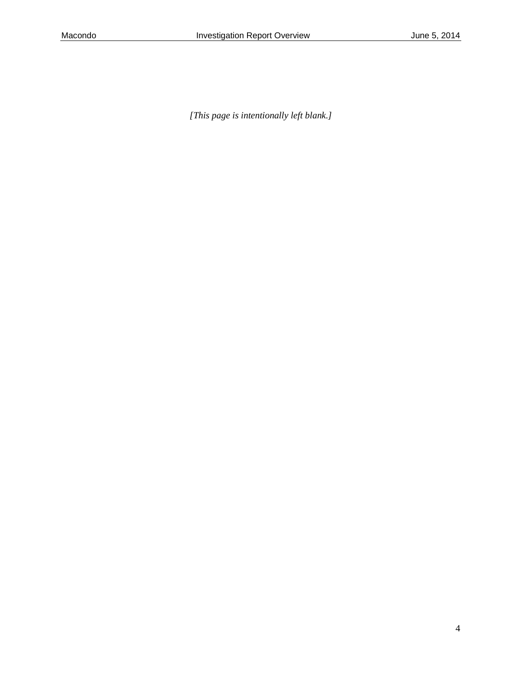*[This page is intentionally left blank.]*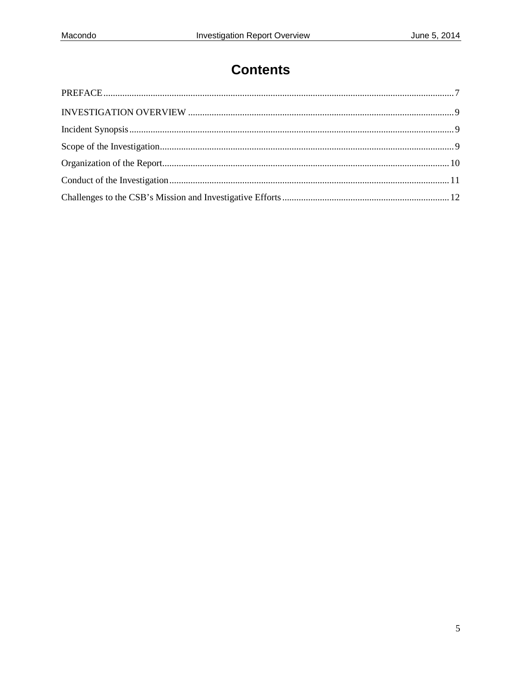# **Contents**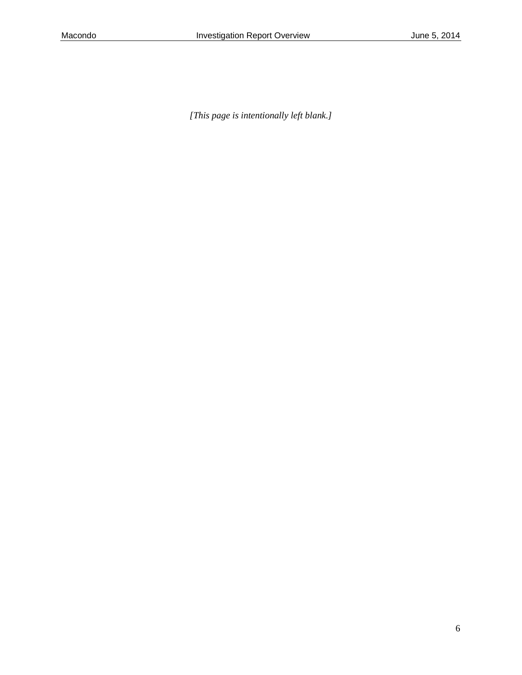*[This page is intentionally left blank.]*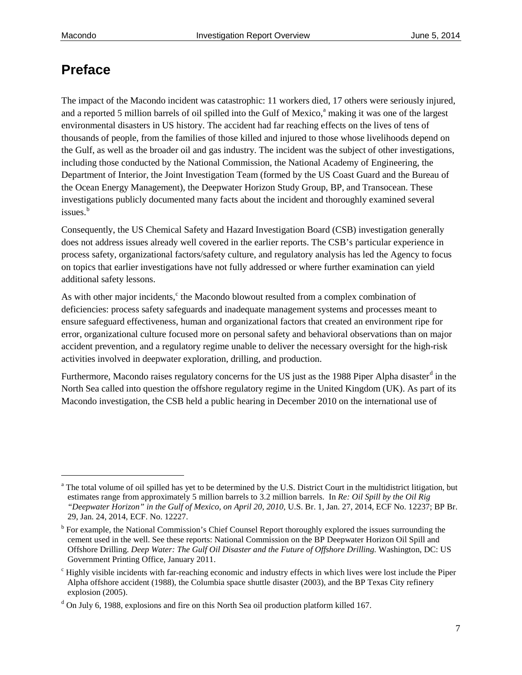# <span id="page-6-0"></span>**Preface**

The impact of the Macondo incident was catastrophic: 11 workers died, 17 others were seriously injured, [a](#page-6-1)nd a reported 5 million barrels of oil spilled into the Gulf of Mexico,<sup>a</sup> making it was one of the largest environmental disasters in US history. The accident had far reaching effects on the lives of tens of thousands of people, from the families of those killed and injured to those whose livelihoods depend on the Gulf, as well as the broader oil and gas industry. The incident was the subject of other investigations, including those conducted by the National Commission, the National Academy of Engineering, the Department of Interior, the Joint Investigation Team (formed by the US Coast Guard and the Bureau of the Ocean Energy Management), the Deepwater Horizon Study Group, BP, and Transocean. These investigations publicly documented many facts about the incident and thoroughly examined several issues. [b](#page-6-2)

Consequently, the US Chemical Safety and Hazard Investigation Board (CSB) investigation generally does not address issues already well covered in the earlier reports. The CSB's particular experience in process safety, organizational factors/safety culture, and regulatory analysis has led the Agency to focus on topics that earlier investigations have not fully addressed or where further examination can yield additional safety lessons.

As with other major in[c](#page-6-3)idents,<sup>c</sup> the Macondo blowout resulted from a complex combination of deficiencies: process safety safeguards and inadequate management systems and processes meant to ensure safeguard effectiveness, human and organizational factors that created an environment ripe for error, organizational culture focused more on personal safety and behavioral observations than on major accident prevention, and a regulatory regime unable to deliver the necessary oversight for the high-risk activities involved in deepwater exploration, drilling, and production.

Furthermore, Macon[d](#page-6-4)o raises regulatory concerns for the US just as the 1988 Piper Alpha disaster<sup>d</sup> in the North Sea called into question the offshore regulatory regime in the United Kingdom (UK). As part of its Macondo investigation, the CSB held a public hearing in December 2010 on the international use of

<span id="page-6-1"></span><sup>&</sup>lt;sup>a</sup> The total volume of oil spilled has yet to be determined by the U.S. District Court in the multidistrict litigation, but estimates range from approximately 5 million barrels to 3.2 million barrels. In *Re: Oil Spill by the Oil Rig "Deepwater Horizon" in the Gulf of Mexico, on April 20, 2010,* U.S. Br. 1, Jan. 27, 2014, ECF No. 12237; BP Br. 29, Jan. 24, 2014, ECF. No. 12227.

<span id="page-6-2"></span><sup>&</sup>lt;sup>b</sup> For example, the National Commission's Chief Counsel Report thoroughly explored the issues surrounding the cement used in the well. See these reports: National Commission on the BP Deepwater Horizon Oil Spill and Offshore Drilling. *Deep Water: The Gulf Oil Disaster and the Future of Offshore Drilling.* Washington, DC: US Government Printing Office, January 2011.

<span id="page-6-3"></span> $c$  Highly visible incidents with far-reaching economic and industry effects in which lives were lost include the Piper Alpha offshore accident (1988), the Columbia space shuttle disaster (2003), and the BP Texas City refinery explosion (2005).

<span id="page-6-4"></span><sup>d</sup> On July 6, 1988, explosions and fire on this North Sea oil production platform killed 167.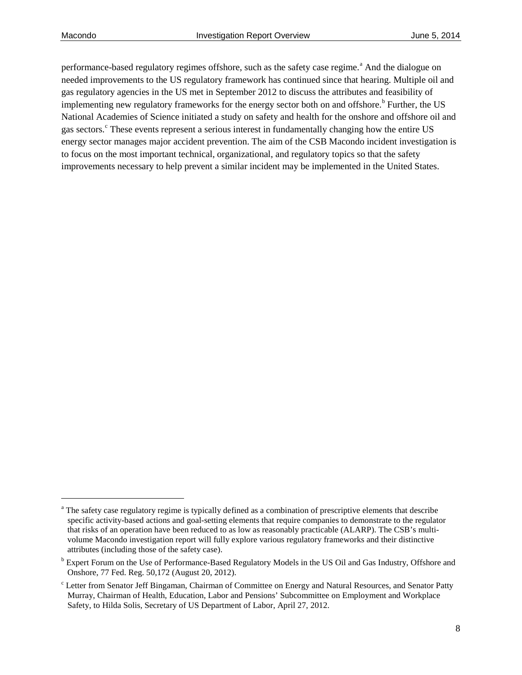perform[a](#page-7-0)nce-based regulatory regimes offshore, such as the safety case regime.<sup>a</sup> And the dialogue on needed improvements to the US regulatory framework has continued since that hearing. Multiple oil and gas regulatory agencies in the US met in September 2012 to discuss the attributes and feasibility of implementing new regulatory frameworks for the energy sector [b](#page-7-1)oth on and offshore.<sup>b</sup> Further, the US National Academies of Science initiated a study on safety and health for the onshore and offshore oil and gas se[c](#page-7-2)tors.<sup>c</sup> These events represent a serious interest in fundamentally changing how the entire US energy sector manages major accident prevention. The aim of the CSB Macondo incident investigation is to focus on the most important technical, organizational, and regulatory topics so that the safety improvements necessary to help prevent a similar incident may be implemented in the United States.

<span id="page-7-0"></span><sup>&</sup>lt;sup>a</sup> The safety case regulatory regime is typically defined as a combination of prescriptive elements that describe specific activity-based actions and goal-setting elements that require companies to demonstrate to the regulator that risks of an operation have been reduced to as low as reasonably practicable (ALARP). The CSB's multivolume Macondo investigation report will fully explore various regulatory frameworks and their distinctive attributes (including those of the safety case).

<span id="page-7-1"></span><sup>&</sup>lt;sup>b</sup> Expert Forum on the Use of Performance-Based Regulatory Models in the US Oil and Gas Industry, Offshore and Onshore, 77 Fed. Reg. 50,172 (August 20, 2012).

<span id="page-7-2"></span><sup>&</sup>lt;sup>c</sup> Letter from Senator Jeff Bingaman, Chairman of Committee on Energy and Natural Resources, and Senator Patty Murray, Chairman of Health, Education, Labor and Pensions' Subcommittee on Employment and Workplace Safety, to Hilda Solis, Secretary of US Department of Labor, April 27, 2012.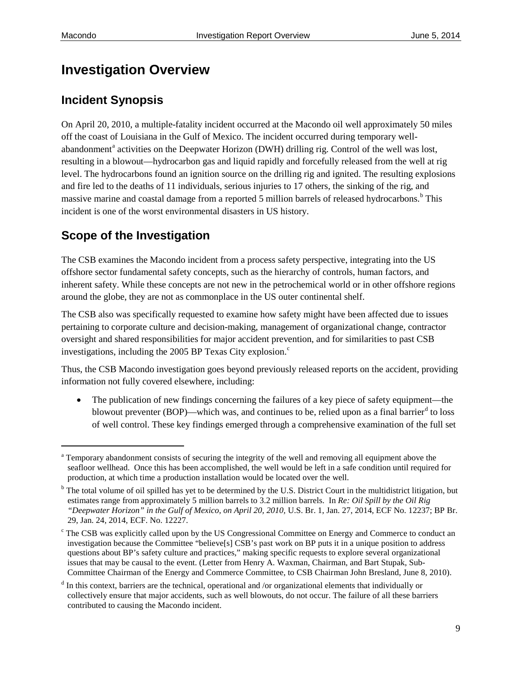### <span id="page-8-0"></span>**Investigation Overview**

#### <span id="page-8-1"></span>**Incident Synopsis**

On April 20, 2010, a multiple-fatality incident occurred at the Macondo oil well approximately 50 miles off the coast of Louisiana in the Gulf of Mexico. The incident occurred during temporary well[a](#page-8-3)bandonment<sup>a</sup> activities on the Deepwater Horizon (DWH) drilling rig. Control of the well was lost, resulting in a blowout—hydrocarbon gas and liquid rapidly and forcefully released from the well at rig level. The hydrocarbons found an ignition source on the drilling rig and ignited. The resulting explosions and fire led to the deaths of 11 individuals, serious injuries to 17 others, the sinking of the rig, and massive marine and coastal damage from a reported 5 million [b](#page-8-4)arrels of released hydrocarbons.<sup>b</sup> This incident is one of the worst environmental disasters in US history.

### <span id="page-8-2"></span>**Scope of the Investigation**

The CSB examines the Macondo incident from a process safety perspective, integrating into the US offshore sector fundamental safety concepts, such as the hierarchy of controls, human factors, and inherent safety. While these concepts are not new in the petrochemical world or in other offshore regions around the globe, they are not as commonplace in the US outer continental shelf.

The CSB also was specifically requested to examine how safety might have been affected due to issues pertaining to corporate culture and decision-making, management of organizational change, contractor oversight and shared responsibilities for major accident prevention, and for similarities to past CSB investigations, in[c](#page-8-5)luding the 2005 BP Texas City explosion. $\textdegree$ 

Thus, the CSB Macondo investigation goes beyond previously released reports on the accident, providing information not fully covered elsewhere, including:

• The publication of new findings concerning the failures of a key piece of safety equipment—the blowout preventer (BOP)—which was, an[d](#page-8-6) continues to be, relied upon as a final barrier<sup>d</sup> to loss of well control. These key findings emerged through a comprehensive examination of the full set

<span id="page-8-3"></span><sup>&</sup>lt;sup>a</sup> Temporary abandonment consists of securing the integrity of the well and removing all equipment above the seafloor wellhead. Once this has been accomplished, the well would be left in a safe condition until required for production, at which time a production installation would be located over the well.

<span id="page-8-4"></span> $b$  The total volume of oil spilled has yet to be determined by the U.S. District Court in the multidistrict litigation, but estimates range from approximately 5 million barrels to 3.2 million barrels. In *Re: Oil Spill by the Oil Rig "Deepwater Horizon" in the Gulf of Mexico, on April 20, 2010,* U.S. Br. 1, Jan. 27, 2014, ECF No. 12237; BP Br. 29, Jan. 24, 2014, ECF. No. 12227.

<span id="page-8-5"></span><sup>&</sup>lt;sup>c</sup> The CSB was explicitly called upon by the US Congressional Committee on Energy and Commerce to conduct an investigation because the Committee "believe[s] CSB's past work on BP puts it in a unique position to address questions about BP's safety culture and practices," making specific requests to explore several organizational issues that may be causal to the event. (Letter from Henry A. Waxman, Chairman, and Bart Stupak, Sub-Committee Chairman of the Energy and Commerce Committee, to CSB Chairman John Bresland, June 8, 2010).

<span id="page-8-6"></span><sup>&</sup>lt;sup>d</sup> In this context, barriers are the technical, operational and /or organizational elements that individually or collectively ensure that major accidents, such as well blowouts, do not occur. The failure of all these barriers contributed to causing the Macondo incident.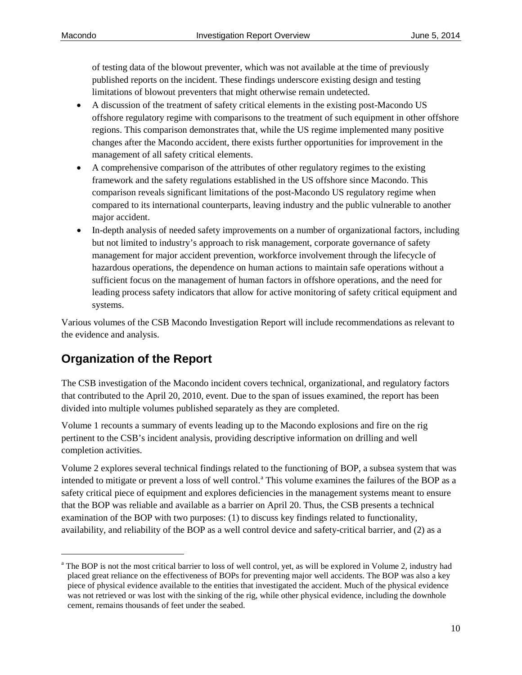of testing data of the blowout preventer, which was not available at the time of previously published reports on the incident. These findings underscore existing design and testing limitations of blowout preventers that might otherwise remain undetected.

- A discussion of the treatment of safety critical elements in the existing post-Macondo US offshore regulatory regime with comparisons to the treatment of such equipment in other offshore regions. This comparison demonstrates that, while the US regime implemented many positive changes after the Macondo accident, there exists further opportunities for improvement in the management of all safety critical elements.
- A comprehensive comparison of the attributes of other regulatory regimes to the existing framework and the safety regulations established in the US offshore since Macondo. This comparison reveals significant limitations of the post-Macondo US regulatory regime when compared to its international counterparts, leaving industry and the public vulnerable to another major accident.
- In-depth analysis of needed safety improvements on a number of organizational factors, including but not limited to industry's approach to risk management, corporate governance of safety management for major accident prevention, workforce involvement through the lifecycle of hazardous operations, the dependence on human actions to maintain safe operations without a sufficient focus on the management of human factors in offshore operations, and the need for leading process safety indicators that allow for active monitoring of safety critical equipment and systems.

Various volumes of the CSB Macondo Investigation Report will include recommendations as relevant to the evidence and analysis.

#### <span id="page-9-0"></span>**Organization of the Report**

 $\overline{a}$ 

The CSB investigation of the Macondo incident covers technical, organizational, and regulatory factors that contributed to the April 20, 2010, event. Due to the span of issues examined, the report has been divided into multiple volumes published separately as they are completed.

Volume 1 recounts a summary of events leading up to the Macondo explosions and fire on the rig pertinent to the CSB's incident analysis, providing descriptive information on drilling and well completion activities.

Volume 2 explores several technical findings related to the functioning of BOP, a subsea system that was intended to mitig[a](#page-9-1)te or prevent a loss of well control.<sup>a</sup> This volume examines the failures of the BOP as a safety critical piece of equipment and explores deficiencies in the management systems meant to ensure that the BOP was reliable and available as a barrier on April 20. Thus, the CSB presents a technical examination of the BOP with two purposes: (1) to discuss key findings related to functionality, availability, and reliability of the BOP as a well control device and safety-critical barrier, and (2) as a

<span id="page-9-1"></span><sup>&</sup>lt;sup>a</sup> The BOP is not the most critical barrier to loss of well control, yet, as will be explored in Volume 2, industry had placed great reliance on the effectiveness of BOPs for preventing major well accidents. The BOP was also a key piece of physical evidence available to the entities that investigated the accident. Much of the physical evidence was not retrieved or was lost with the sinking of the rig, while other physical evidence, including the downhole cement, remains thousands of feet under the seabed.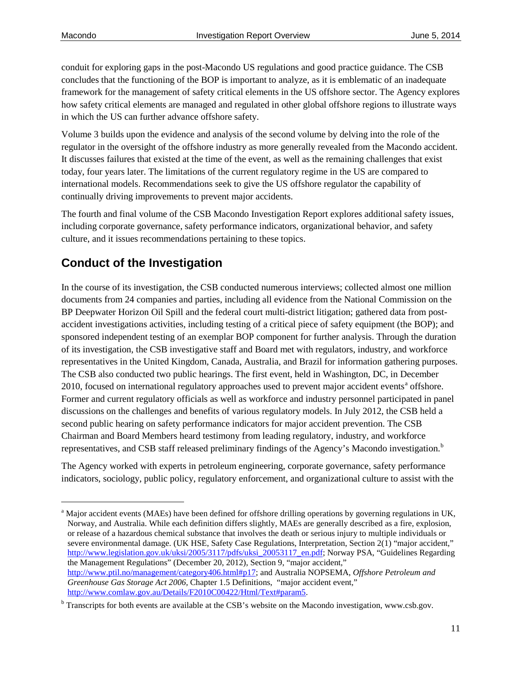conduit for exploring gaps in the post-Macondo US regulations and good practice guidance. The CSB concludes that the functioning of the BOP is important to analyze, as it is emblematic of an inadequate framework for the management of safety critical elements in the US offshore sector. The Agency explores how safety critical elements are managed and regulated in other global offshore regions to illustrate ways in which the US can further advance offshore safety.

Volume 3 builds upon the evidence and analysis of the second volume by delving into the role of the regulator in the oversight of the offshore industry as more generally revealed from the Macondo accident. It discusses failures that existed at the time of the event, as well as the remaining challenges that exist today, four years later. The limitations of the current regulatory regime in the US are compared to international models. Recommendations seek to give the US offshore regulator the capability of continually driving improvements to prevent major accidents.

The fourth and final volume of the CSB Macondo Investigation Report explores additional safety issues, including corporate governance, safety performance indicators, organizational behavior, and safety culture, and it issues recommendations pertaining to these topics.

#### <span id="page-10-0"></span>**Conduct of the Investigation**

In the course of its investigation, the CSB conducted numerous interviews; collected almost one million documents from 24 companies and parties, including all evidence from the National Commission on the BP Deepwater Horizon Oil Spill and the federal court multi-district litigation; gathered data from postaccident investigations activities, including testing of a critical piece of safety equipment (the BOP); and sponsored independent testing of an exemplar BOP component for further analysis. Through the duration of its investigation, the CSB investigative staff and Board met with regulators, industry, and workforce representatives in the United Kingdom, Canada, Australia, and Brazil for information gathering purposes. The CSB also conducted two public hearings. The first event, held in Washington, DC, in December 2010, focused on intern[a](#page-10-1)tional regulatory approaches used to prevent major accident events<sup>a</sup> offshore. Former and current regulatory officials as well as workforce and industry personnel participated in panel discussions on the challenges and benefits of various regulatory models. In July 2012, the CSB held a second public hearing on safety performance indicators for major accident prevention. The CSB Chairman and Board Members heard testimony from leading regulatory, industry, and workforce representatives, and CSB staff released preliminary findings of the Agency's Macondo investigation.<sup>[b](#page-10-2)</sup>

The Agency worked with experts in petroleum engineering, corporate governance, safety performance indicators, sociology, public policy, regulatory enforcement, and organizational culture to assist with the

<span id="page-10-1"></span> $^{\text{a}}$  Major accident events (MAEs) have been defined for offshore drilling operations by governing regulations in UK, Norway, and Australia. While each definition differs slightly, MAEs are generally described as a fire, explosion, or release of a hazardous chemical substance that involves the death or serious injury to multiple individuals or severe environmental damage. (UK HSE, Safety Case Regulations, Interpretation, Section 2(1) "major accident," [http://www.legislation.gov.uk/uksi/2005/3117/pdfs/uksi\\_20053117\\_en.pdf;](http://www.legislation.gov.uk/uksi/2005/3117/pdfs/uksi_20053117_en.pdf) Norway PSA, "Guidelines Regarding the Management Regulations" (December 20, 2012), Section 9, "major accident," [http://www.ptil.no/management/category406.html#p17;](http://www.ptil.no/management/category406.html%23p17) and Australia NOPSEMA, *Offshore Petroleum and Greenhouse Gas Storage Act 2006,* Chapter 1.5 Definitions, "major accident event," [http://www.comlaw.gov.au/Details/F2010C00422/Html/Text#param5.](http://www.comlaw.gov.au/Details/F2010C00422/Html/Text%23param5)

<span id="page-10-2"></span><sup>&</sup>lt;sup>b</sup> Transcripts for both events are available at the CSB's website on the Macondo investigation, www.csb.gov.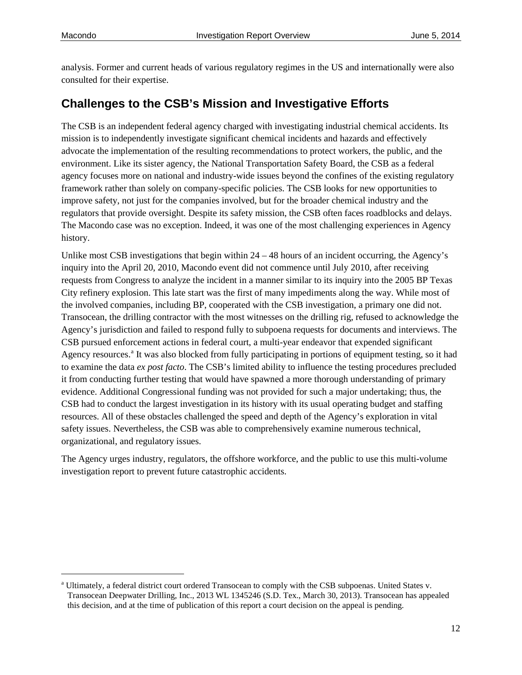analysis. Former and current heads of various regulatory regimes in the US and internationally were also consulted for their expertise.

#### <span id="page-11-0"></span>**Challenges to the CSB's Mission and Investigative Efforts**

The CSB is an independent federal agency charged with investigating industrial chemical accidents. Its mission is to independently investigate significant chemical incidents and hazards and effectively advocate the implementation of the resulting recommendations to protect workers, the public, and the environment. Like its sister agency, the National Transportation Safety Board, the CSB as a federal agency focuses more on national and industry-wide issues beyond the confines of the existing regulatory framework rather than solely on company-specific policies. The CSB looks for new opportunities to improve safety, not just for the companies involved, but for the broader chemical industry and the regulators that provide oversight. Despite its safety mission, the CSB often faces roadblocks and delays. The Macondo case was no exception. Indeed, it was one of the most challenging experiences in Agency history.

Unlike most CSB investigations that begin within  $24 - 48$  hours of an incident occurring, the Agency's inquiry into the April 20, 2010, Macondo event did not commence until July 2010, after receiving requests from Congress to analyze the incident in a manner similar to its inquiry into the 2005 BP Texas City refinery explosion. This late start was the first of many impediments along the way. While most of the involved companies, including BP, cooperated with the CSB investigation, a primary one did not. Transocean, the drilling contractor with the most witnesses on the drilling rig, refused to acknowledge the Agency's jurisdiction and failed to respond fully to subpoena requests for documents and interviews. The CSB pursued enforcement actions in federal court, a multi-year endeavor that expended significant Agency resources.<sup>[a](#page-11-1)</sup> It was also blocked from fully participating in portions of equipment testing, so it had to examine the data *ex post facto*. The CSB's limited ability to influence the testing procedures precluded it from conducting further testing that would have spawned a more thorough understanding of primary evidence. Additional Congressional funding was not provided for such a major undertaking; thus, the CSB had to conduct the largest investigation in its history with its usual operating budget and staffing resources. All of these obstacles challenged the speed and depth of the Agency's exploration in vital safety issues. Nevertheless, the CSB was able to comprehensively examine numerous technical, organizational, and regulatory issues.

The Agency urges industry, regulators, the offshore workforce, and the public to use this multi-volume investigation report to prevent future catastrophic accidents.

<span id="page-11-1"></span><sup>&</sup>lt;sup>a</sup> Ultimately, a federal district court ordered Transocean to comply with the CSB subpoenas. United States v. Transocean Deepwater Drilling, Inc., 2013 WL 1345246 (S.D. Tex., March 30, 2013). Transocean has appealed this decision, and at the time of publication of this report a court decision on the appeal is pending.